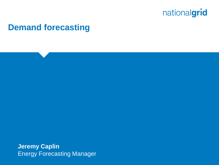

#### **Demand forecasting**

**Jeremy Caplin** Energy Forecasting Manager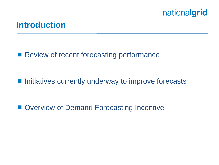

#### **Introduction**

■ Review of recent forecasting performance

■ Initiatives currently underway to improve forecasts

■ Overview of Demand Forecasting Incentive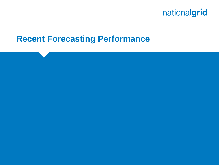

#### **Recent Forecasting Performance**

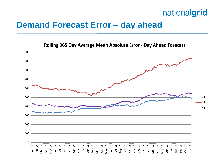### **Demand Forecast Error – day ahead**

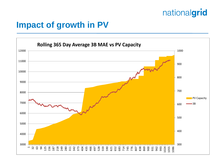### **Impact of growth in PV**

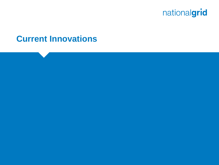![](_page_5_Picture_0.jpeg)

#### **Current Innovations**

![](_page_5_Picture_2.jpeg)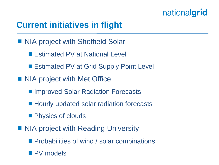## **Current initiatives in flight**

- NIA project with Sheffield Solar
	- Estimated PV at National Level
	- Estimated PV at Grid Supply Point Level
- NIA project with Met Office
	- Improved Solar Radiation Forecasts
	- Hourly updated solar radiation forecasts
	- **Physics of clouds**
- NIA project with Reading University
	- **Probabilities of wind / solar combinations**
	- **PV** models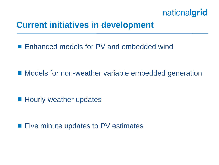![](_page_7_Picture_0.jpeg)

### **Current initiatives in development**

■ Enhanced models for PV and embedded wind

■ Models for non-weather variable embedded generation

**Hourly weather updates** 

**Five minute updates to PV estimates**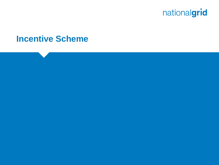![](_page_8_Picture_0.jpeg)

#### **Incentive Scheme**

![](_page_8_Picture_2.jpeg)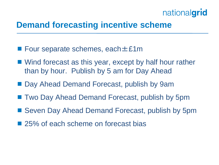### **Demand forecasting incentive scheme**

- Four separate schemes, each  $\pm$  £1m
- Wind forecast as this year, except by half hour rather than by hour. Publish by 5 am for Day Ahead
- Day Ahead Demand Forecast, publish by 9am
- Two Day Ahead Demand Forecast, publish by 5pm
- Seven Day Ahead Demand Forecast, publish by 5pm
- 25% of each scheme on forecast bias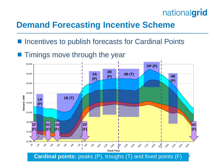![](_page_10_Picture_0.jpeg)

### **Demand Forecasting Incentive Scheme**

- Incentives to publish forecasts for Cardinal Points
- $\blacksquare$  Timings move through the year

![](_page_10_Figure_4.jpeg)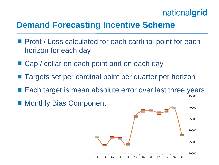![](_page_11_Picture_0.jpeg)

45000

### **Demand Forecasting Incentive Scheme**

- **Profit / Loss calculated for each cardinal point for each** horizon for each day
- Cap / collar on each point and on each day
- Targets set per cardinal point per quarter per horizon
- Each target is mean absolute error over last three years
- Monthly Bias Component

![](_page_11_Figure_7.jpeg)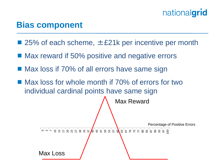### **Bias component**

- 25% of each scheme,  $±21k$  per incentive per month
- Max reward if 50% positive and negative errors
- Max loss if 70% of all errors have same sign
- Max loss for whole month if 70% of errors for two individual cardinal points have same sign

![](_page_12_Figure_6.jpeg)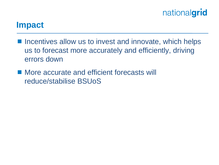### **Impact**

- $\blacksquare$  Incentives allow us to invest and innovate, which helps us to forecast more accurately and efficiently, driving errors down
- More accurate and efficient forecasts will reduce/stabilise BSUoS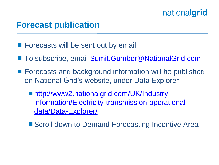### **Forecast publication**

- **Forecasts will be sent out by email**
- To subscribe, email [Sumit.Gumber@NationalGrid.com](mailto:Sumit.Gumber@NationalGrid.com)
- Forecasts and background information will be published on National Grid's website, under Data Explorer
	- [http://www2.nationalgrid.com/UK/Industry](http://www2.nationalgrid.com/UK/Industry-information/Electricity-transmission-operational-data/Data-Explorer/)[information/Electricity-transmission-operational](http://www2.nationalgrid.com/UK/Industry-information/Electricity-transmission-operational-data/Data-Explorer/)[data/Data-Explorer/](http://www2.nationalgrid.com/UK/Industry-information/Electricity-transmission-operational-data/Data-Explorer/)
	- Scroll down to Demand Forecasting Incentive Area